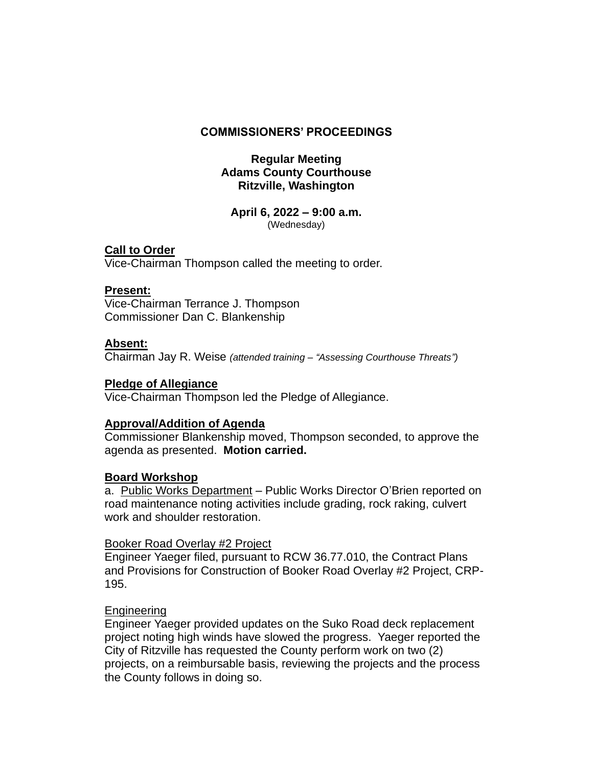### **COMMISSIONERS' PROCEEDINGS**

### **Regular Meeting Adams County Courthouse Ritzville, Washington**

#### **April 6, 2022 – 9:00 a.m.** (Wednesday)

# **Call to Order**

Vice-Chairman Thompson called the meeting to order.

### **Present:**

Vice-Chairman Terrance J. Thompson Commissioner Dan C. Blankenship

### **Absent:**

Chairman Jay R. Weise *(attended training – "Assessing Courthouse Threats")*

# **Pledge of Allegiance**

Vice-Chairman Thompson led the Pledge of Allegiance.

# **Approval/Addition of Agenda**

Commissioner Blankenship moved, Thompson seconded, to approve the agenda as presented. **Motion carried.**

# **Board Workshop**

a. Public Works Department – Public Works Director O'Brien reported on road maintenance noting activities include grading, rock raking, culvert work and shoulder restoration.

#### Booker Road Overlay #2 Project

Engineer Yaeger filed, pursuant to RCW 36.77.010, the Contract Plans and Provisions for Construction of Booker Road Overlay #2 Project, CRP-195.

# Engineering

Engineer Yaeger provided updates on the Suko Road deck replacement project noting high winds have slowed the progress. Yaeger reported the City of Ritzville has requested the County perform work on two (2) projects, on a reimbursable basis, reviewing the projects and the process the County follows in doing so.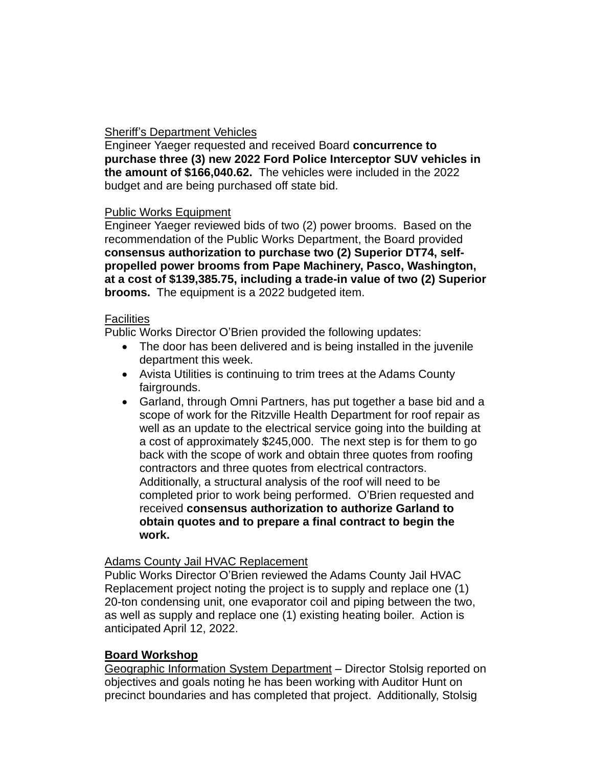# Sheriff's Department Vehicles

Engineer Yaeger requested and received Board **concurrence to purchase three (3) new 2022 Ford Police Interceptor SUV vehicles in the amount of \$166,040.62.** The vehicles were included in the 2022 budget and are being purchased off state bid.

### Public Works Equipment

Engineer Yaeger reviewed bids of two (2) power brooms. Based on the recommendation of the Public Works Department, the Board provided **consensus authorization to purchase two (2) Superior DT74, selfpropelled power brooms from Pape Machinery, Pasco, Washington, at a cost of \$139,385.75, including a trade-in value of two (2) Superior brooms.** The equipment is a 2022 budgeted item.

### **Facilities**

Public Works Director O'Brien provided the following updates:

- The door has been delivered and is being installed in the juvenile department this week.
- Avista Utilities is continuing to trim trees at the Adams County fairgrounds.
- Garland, through Omni Partners, has put together a base bid and a scope of work for the Ritzville Health Department for roof repair as well as an update to the electrical service going into the building at a cost of approximately \$245,000. The next step is for them to go back with the scope of work and obtain three quotes from roofing contractors and three quotes from electrical contractors. Additionally, a structural analysis of the roof will need to be completed prior to work being performed. O'Brien requested and received **consensus authorization to authorize Garland to obtain quotes and to prepare a final contract to begin the work.**

# Adams County Jail HVAC Replacement

Public Works Director O'Brien reviewed the Adams County Jail HVAC Replacement project noting the project is to supply and replace one (1) 20-ton condensing unit, one evaporator coil and piping between the two, as well as supply and replace one (1) existing heating boiler. Action is anticipated April 12, 2022.

# **Board Workshop**

Geographic Information System Department – Director Stolsig reported on objectives and goals noting he has been working with Auditor Hunt on precinct boundaries and has completed that project. Additionally, Stolsig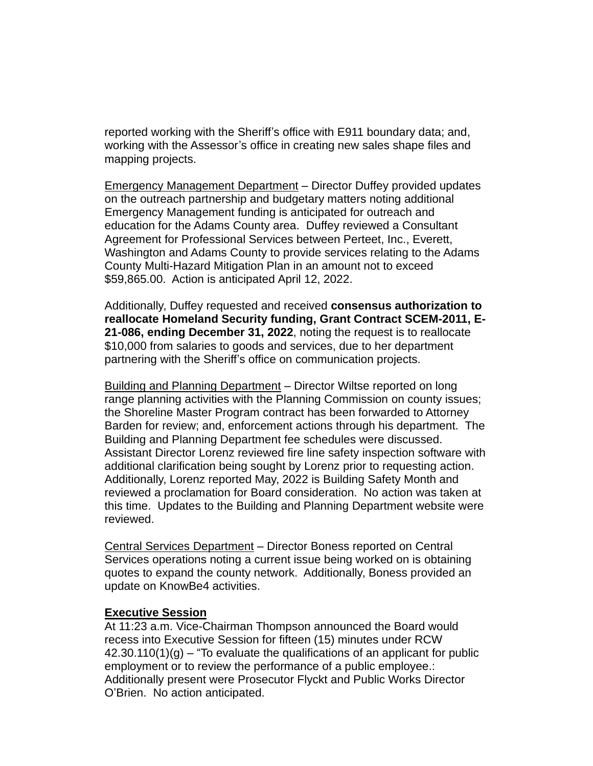reported working with the Sheriff's office with E911 boundary data; and, working with the Assessor's office in creating new sales shape files and mapping projects.

Emergency Management Department – Director Duffey provided updates on the outreach partnership and budgetary matters noting additional Emergency Management funding is anticipated for outreach and education for the Adams County area. Duffey reviewed a Consultant Agreement for Professional Services between Perteet, Inc., Everett, Washington and Adams County to provide services relating to the Adams County Multi-Hazard Mitigation Plan in an amount not to exceed \$59,865.00. Action is anticipated April 12, 2022.

Additionally, Duffey requested and received **consensus authorization to reallocate Homeland Security funding, Grant Contract SCEM-2011, E-21-086, ending December 31, 2022**, noting the request is to reallocate \$10,000 from salaries to goods and services, due to her department partnering with the Sheriff's office on communication projects.

Building and Planning Department – Director Wiltse reported on long range planning activities with the Planning Commission on county issues; the Shoreline Master Program contract has been forwarded to Attorney Barden for review; and, enforcement actions through his department. The Building and Planning Department fee schedules were discussed. Assistant Director Lorenz reviewed fire line safety inspection software with additional clarification being sought by Lorenz prior to requesting action. Additionally, Lorenz reported May, 2022 is Building Safety Month and reviewed a proclamation for Board consideration. No action was taken at this time. Updates to the Building and Planning Department website were reviewed.

Central Services Department – Director Boness reported on Central Services operations noting a current issue being worked on is obtaining quotes to expand the county network. Additionally, Boness provided an update on KnowBe4 activities.

#### **Executive Session**

At 11:23 a.m. Vice-Chairman Thompson announced the Board would recess into Executive Session for fifteen (15) minutes under RCW  $42.30.110(1)(g) -$  To evaluate the qualifications of an applicant for public employment or to review the performance of a public employee.: Additionally present were Prosecutor Flyckt and Public Works Director O'Brien. No action anticipated.